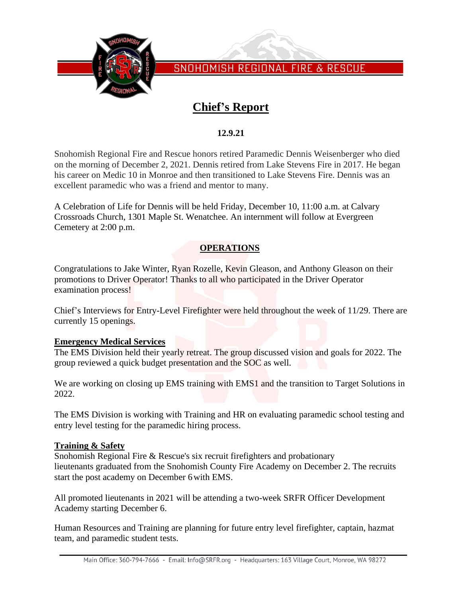

SNOHOMISH REGIONAL FIRE & RESCUE

# **Chief's Report**

### **12.9.21**

Snohomish Regional Fire and Rescue honors retired Paramedic Dennis Weisenberger who died on the morning of December 2, 2021. Dennis retired from Lake Stevens Fire in 2017. He began his career on Medic 10 in Monroe and then transitioned to Lake Stevens Fire. Dennis was an excellent paramedic who was a friend and mentor to many.

A Celebration of Life for Dennis will be held Friday, December 10, 11:00 a.m. at Calvary Crossroads Church, 1301 Maple St. Wenatchee. An internment will follow at Evergreen Cemetery at 2:00 p.m.

### **OPERATIONS**

Congratulations to Jake Winter, Ryan Rozelle, Kevin Gleason, and Anthony Gleason on their promotions to Driver Operator! Thanks to all who participated in the Driver Operator examination process!

Chief's Interviews for Entry-Level Firefighter were held throughout the week of 11/29. There are currently 15 openings.

#### **Emergency Medical Services**

The EMS Division held their yearly retreat. The group discussed vision and goals for 2022. The group reviewed a quick budget presentation and the SOC as well.

We are working on closing up EMS training with EMS1 and the transition to Target Solutions in 2022.

The EMS Division is working with Training and HR on evaluating paramedic school testing and entry level testing for the paramedic hiring process.

#### **Training & Safety**

Snohomish Regional Fire & Rescue's six recruit firefighters and probationary lieutenants graduated from the Snohomish County Fire Academy on December 2. The recruits start the post academy on December 6with EMS.

All promoted lieutenants in 2021 will be attending a two-week SRFR Officer Development Academy starting December 6.

Human Resources and Training are planning for future entry level firefighter, captain, hazmat team, and paramedic student tests.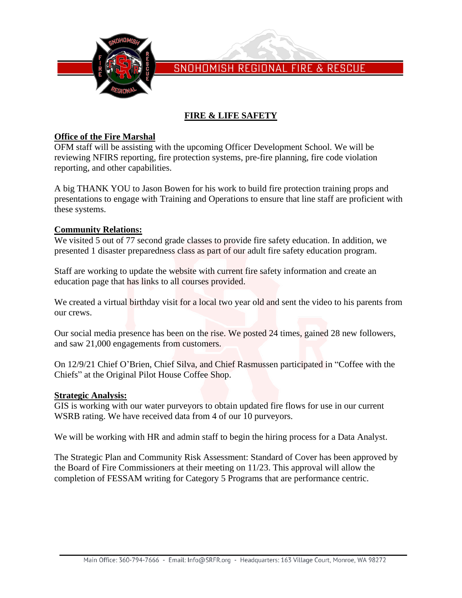

SNOHOMISH REGIONAL FIRE & RESCUE

## **FIRE & LIFE SAFETY**

### **Office of the Fire Marshal**

OFM staff will be assisting with the upcoming Officer Development School. We will be reviewing NFIRS reporting, fire protection systems, pre-fire planning, fire code violation reporting, and other capabilities.

A big THANK YOU to Jason Bowen for his work to build fire protection training props and presentations to engage with Training and Operations to ensure that line staff are proficient with these systems.

### **Community Relations:**

We visited 5 out of 77 second grade classes to provide fire safety education. In addition, we presented 1 disaster preparedness class as part of our adult fire safety education program.

Staff are working to update the website with current fire safety information and create an education page that has links to all courses provided.

We created a virtual birthday visit for a local two year old and sent the video to his parents from our crews.

Our social media presence has been on the rise. We posted 24 times, gained 28 new followers, and saw 21,000 engagements from customers.

On 12/9/21 Chief O'Brien, Chief Silva, and Chief Rasmussen participated in "Coffee with the Chiefs" at the Original Pilot House Coffee Shop.

#### **Strategic Analysis:**

GIS is working with our water purveyors to obtain updated fire flows for use in our current WSRB rating. We have received data from 4 of our 10 purveyors.

We will be working with HR and admin staff to begin the hiring process for a Data Analyst.

The Strategic Plan and Community Risk Assessment: Standard of Cover has been approved by the Board of Fire Commissioners at their meeting on 11/23. This approval will allow the completion of FESSAM writing for Category 5 Programs that are performance centric.